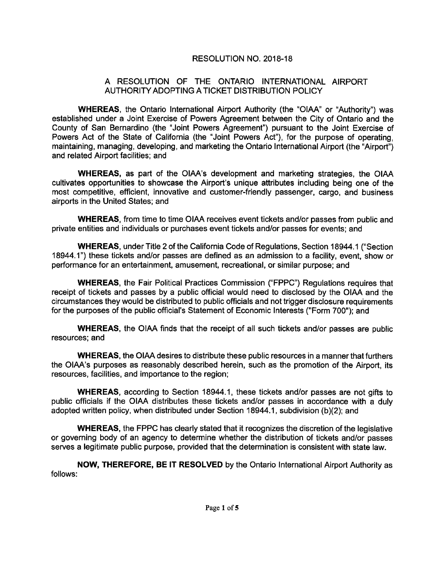## RESOLUTION NO. 2018-18

## A RESOLUTION OF THE ONTARIO INTERNATIONAL AIRPORT AUTHORITY ADOPTING ATICKET DISTRIBUTION POLICY

WHEREAS, the Ontario International Airport Authority (the "OIAA" or "Authority") was established under a Joint Exercise of Powers Agreement between the City of Ontario and the County of San Bernardino ( the " Joint Powers Agreement") pursuant to the Joint Exercise of Powers Act of the State of California (the "Joint Powers Act"), for the purpose of operating, maintaining, managing, developing, and marketing the Ontario International Airport (the "Airport") and related Airport facilities; and

WHEREAS, as part of the OIAA's development and marketing strategies, the OIAA cultivates opportunities to showcase the Airport's unique attributes including being one of the most competitive, efficient, innovative and customer -friendly passenger, cargo, and business airports in the United States; and

WHEREAS, from time to time OIAA receives event tickets and/or passes from public and private entities and individuals or purchases event tickets and/or passes for events; and

WHEREAS, under Title 2 of the California Code of Regulations, Section 18944. 1 (" Section 18944.1") these tickets and/or passes are defined as an admission to a facility, event, show or performance for an entertainment, amusement, recreational, or similar purpose; and

WHEREAS, the Fair Political Practices Commission ("FPPC") Requlations requires that receipt of tickets and passes by a public official would need to disclosed by the OIAA and the circumstances they would be distributed to public officials and not trigger disclosure requirements for the purposes of the public official's Statement of Economic Interests ("Form 700"); and

WHEREAS, the OIAA finds that the receipt of all such tickets and/or passes are public resources; and

WHEREAS, the OIAA desires to distribute these public resources in a manner that furthers the OIAA's purposes as reasonably described herein, such as the promotion of the Airport, its resources, facilities, and importance to the region;

WHEREAS, according to Section 18944.1, these tickets and/or passes are not gifts to public officials if the OIAA distributes these tickets and/or passes in accordance with a duly adopted written policy, when distributed under Section 18944.1, subdivision (b)(2); and

WHEREAS, the FPPC has clearly stated that it recognizes the discretion of the legislative or governing body of an agency to determine whether the distribution of tickets and/or passes serves a legitimate public purpose, provided that the determination is consistent with state law.

follows: NOW, THEREFORE, BE IT RESOLVED by the Ontario International Airport Authority as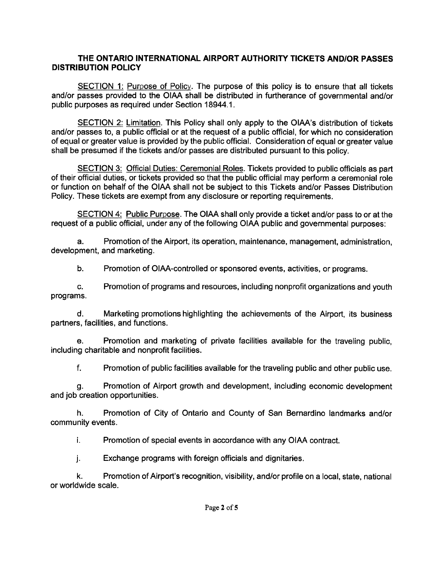## THE ONTARIO INTERNATIONAL AIRPORT AUTHORITY TICKETS AND/OR PASSES DISTRIBUTION POLICY

SECTION 1: Purpose of Policy. The purpose of this policy is to ensure that all tickets and/or passes provided to the OIAA shall be distributed in furtherance of governmental and/or public purposes as required under Section 18944. 1.

SECTION 2: Limitation. This Policy shall only apply to the OIAA's distribution of tickets and/or passes to, a public official or at the request of a public official, for which no consideration of equal or greater value is provided by the public official. Consideration of equal or greater value shall be presumed if the tickets and/or passes are distributed pursuant to this policy.

SECTION 3: Official Duties: Ceremonial Roles. Tickets provided to public officials as part of their official duties, or tickets provided so that the public official may perform a ceremonial role or function on behalf of the OIAA shall not be subject to this Tickets and/or Passes Distribution Policy. These tickets are exempt from any disclosure or reporting requirements.

SECTION 4: Public Purpose. The OIAA shall only provide a ticket and/or pass to or at the request of a public official, under any of the following OIAA public and governmental purposes:

a. Promotion of the Airport, its operation, maintenance, management, administration, development, and marketing.

b. Promotion of OIAA- controlled or sponsored events, activities, or programs.

C. Promotion of programs and resources, including nonprofit organizations and youth programs.

d. Marketing promotions highlighting the achievements of the Airport, its business partners, facilities, and functions.

e. Promotion and marketing of private facilities available for the traveling public, including charitable and nonprofit facilities.

f. Promotion of public facilities available for the traveling public and other public use.

g. Promotion of Airport growth and development, including economic development and job creation opportunities.

h. Promotion of City of Ontario and County of San Bernardino landmarks and/or community events.

i. Promotion of special events in accordance with any OIAA contract.

j. Exchange programs with foreign officials and dignitaries.

k. Promotion of Airport's recognition, visibility, and/ or profile on a local, state, national or worldwide scale.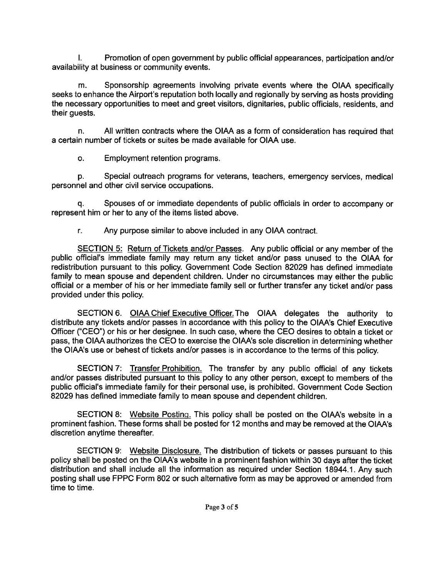I. Promotion of open government by public official appearances, participation and/or availability at business or community events.

m. Sponsorship agreements involving private events where the OIAA specifically seeks to enhance the Airport's reputation both locally and regionally by serving as hosts providing the necessary opportunities to meet and greet visitors, dignitaries, public officials, residents, and their guests.

n. All written contracts where the OIAA as a form of consideration has required that a certain number of tickets or suites be made available for OIAA use.

o. Employment retention programs.

P. Special outreach programs for veterans, teachers, emergency services, medical personnel and other civil service occupations.

q. Spouses of or immediate dependents of public officials in order to accompany or represent him or her to any of the items listed above.

r. Any purpose similar to above included in any OIAA contract.

SECTION 5: Return of Tickets and/or Passes. Any public official or any member of the public official's immediate family may return any ticket and/or pass unused to the OIAA for redistribution pursuant to this policy. Government Code Section 82029 has defined immediate family to mean spouse and dependent children. Under no circumstances may either the public official or a member of his or her immediate family sell or further transfer any ticket and/or pass provided under this policy.

SECTION 6. OIAA Chief Executive Officer. The OIAA delegates the authority to distribute any tickets and/or passes in accordance with this policy to the OIAA's Chief Executive Officer ("CEO") or his or her designee. In such case, where the CEO desires to obtain a ticket or pass, the OIAA authorizes the CEO to exercise the OIAA's sole discretion in determining whether the OIAA's use or behest of tickets and/or passes is in accordance to the terms of this policy.

SECTION 7: Transfer Prohibition. The transfer by any public official of any tickets and/or passes distributed pursuant to this policy to any other person, except to members of the public official's immediate family for their personal use, is prohibited. Government Code Section 82029 has defined immediate family to mean spouse and dependent children.

SECTION 8: Website Posting. This policy shall be posted on the OIAA's website in a prominent fashion. These forms shall be posted for 12 months and may be removed at the OIAA's discretion anytime thereafter.

SECTION 9: Website Disclosure. The distribution of tickets or passes pursuant to this policy shall be posted on the OIAA's website in a prominent fashion within 30 days after the ticket distribution and shall include all the information as required under Section 18944. 1. Any such posting shall use FPPC Form 802 or such alternative form as may be approved or amended from time to time.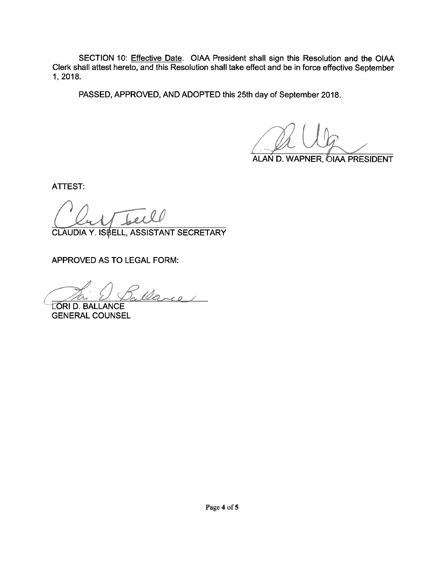SECTION 10: Effective Date. OIAA President shall sign this Resolution and the OIAA Clerk shall attest hereto, and this Resolution shall take effect and be in force effective September 1, 2018.

PASSED, APPROVED, AND ADOPTED this 25th day of September 2018.

ALAN D. WAPNER, OIAA PRESIDENT

ATTEST:

CLAUDIA Y. IS **ELL, ASSISTANT SECRETARY** 

APPROVED AS TO LEGAL FORM:

Dance

LORI D. BALLANCE GENERAL COUNSEL